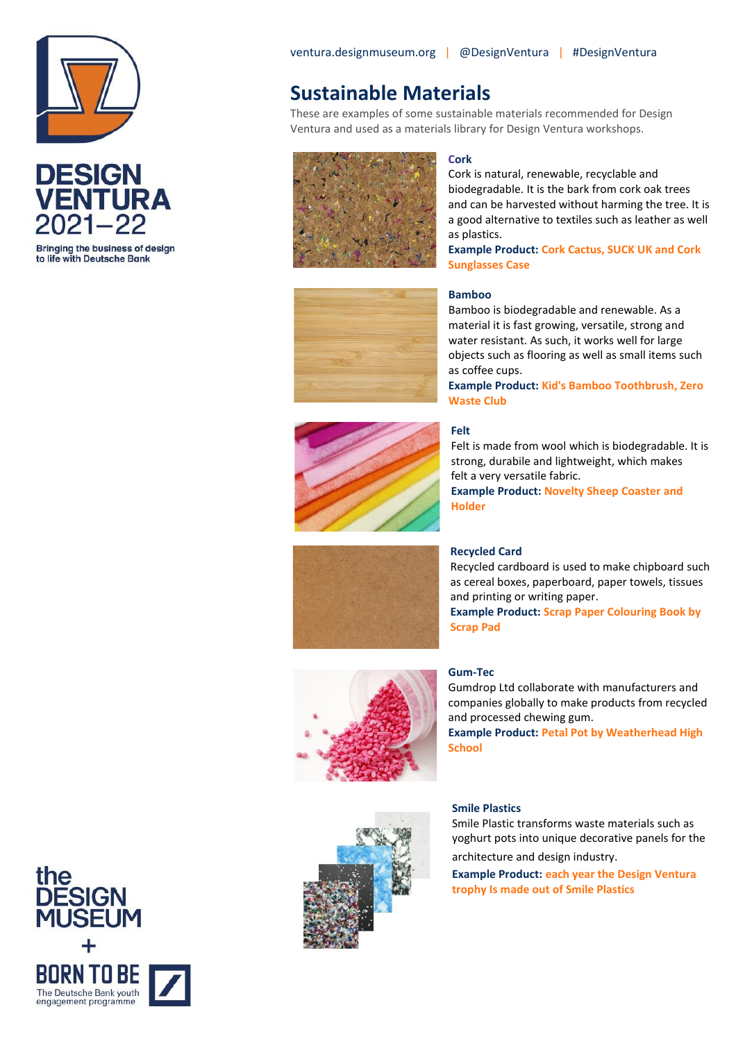



Bringing the business of design to life with Deutsche Bank

### **Sustainable Materials**

These are examples of some sustainable materials recommended for Design Ventura and used as a materials library for Design Ventura workshops.



#### **Cork**

Cork is natural, renewable, recyclable and biodegradable. It is the bark from cork oak trees and can be harvested without harming the tree. It is a good alternative to textiles such as leather as well as plastics.

**Example Product: Cork Cactus, SUCK UK and Cork Sunglasses Case**

#### **Bamboo**

Bamboo is biodegradable and renewable. As a material it is fast growing, versatile, strong and water resistant. As such, it works well for large objects such as flooring as well as small items such as coffee cups.

**Example Product: Kid's Bamboo Toothbrush, Zero Waste Club**



#### **Felt**

Felt is made from wool which is biodegradable. It is strong, durabile and lightweight, which makes felt a very versatile fabric. **Example Product: Novelty Sheep Coaster and Holder** 



**Recycled Card**

Recycled cardboard is used to make chipboard such as cereal boxes, paperboard, paper towels, tissues and printing or writing paper. **Example Product: Scrap Paper Colouring Book by** 

**Scrap Pad**

#### **Gum-Tec**

Gumdrop Ltd collaborate with manufacturers and companies globally to make products from recycled and processed chewing gum. **Example Product: Petal Pot by Weatherhead High** 

**School**



#### **Smile Plastics**

Smile Plastic transforms waste materials such as yoghurt pots into unique decorative panels for the architecture and design industry.

**Example Product: each year the Design Ventura trophy Is made out of Smile Plastics** 

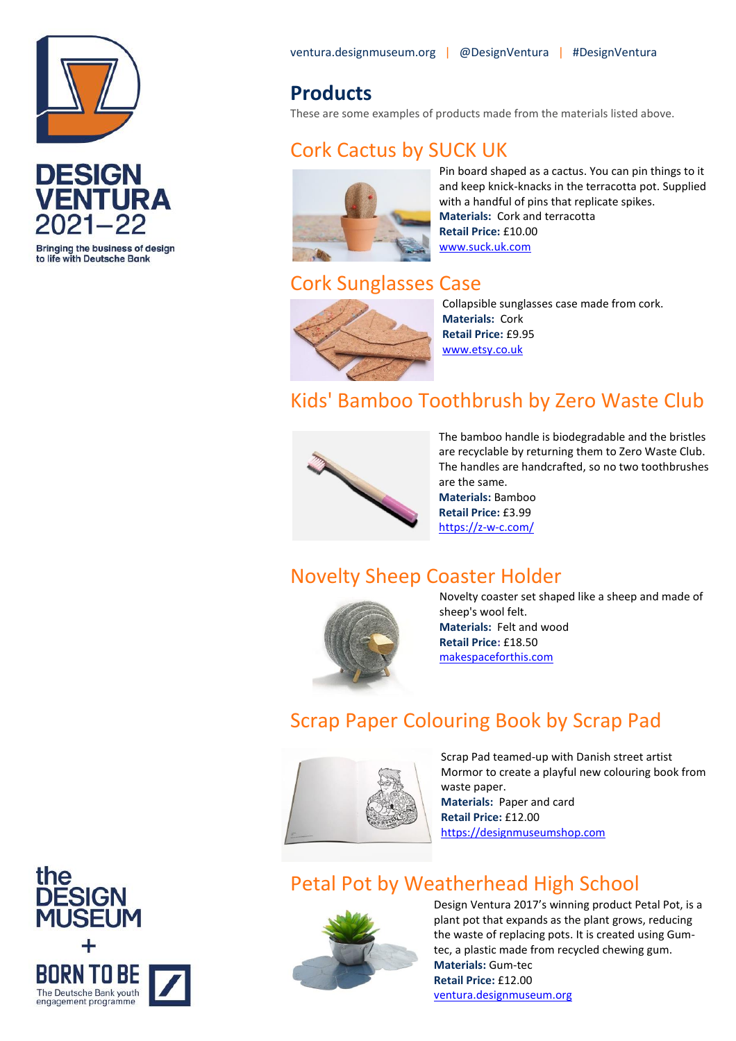



**Bringing the business of design** to life with Deutsche Bank

ventura.designmuseum.org | @DesignVentura | #DesignVentura

### **Products**

These are some examples of products made from the materials listed above.

# Cork Cactus by SUCK UK



Pin board shaped as a cactus. You can pin things to it and keep knick-knacks in the terracotta pot. Supplied with a handful of pins that replicate spikes. **Materials:** Cork and terracotta **Retail Price:** £10.00 [www.suck.uk.com](https://www.suck.uk.com/products/cork-cactus/)

# Cork Sunglasses Case



Collapsible sunglasses case made from cork. **Materials:** Cork **Retail Price:** £9.95 [www.etsy.co.uk](https://www.etsy.com/uk/listing/818573482/cork-sunglasses-glasses-case-eco?ref=shop_home_recs_1&crt=1)

# Kids' Bamboo Toothbrush by Zero Waste Club



The bamboo handle is biodegradable and the bristles are recyclable by returning them to Zero Waste Club. The handles are handcrafted, so no two toothbrushes are the same.

**Materials:** Bamboo **Retail Price:** £3.99 [https://z-w-c.com/](https://z-w-c.com/products/zero-waste-club-baby-toothbrush)

# Novelty Sheep Coaster Holder



Novelty coaster set shaped like a sheep and made of sheep's wool felt. **Materials:** Felt and wood **Retail Price:** £18.50 [makespaceforthis.com](https://makespaceforthis.com/products/sheep-felt-coaster-set)

# Scrap Paper Colouring Book by Scrap Pad



Scrap Pad teamed-up with Danish street artist Mormor to create a playful new colouring book from waste paper. **Materials:** Paper and card

**Retail Price:** £12.00 [https://designmuseumshop.com](https://designmuseumshop.com/products/scrap-paper-colouring-book?_pos=1&_sid=e9dd7f076&_ss=r)

# Petal Pot by Weatherhead High School



Design Ventura 2017's winning product Petal Pot, is a plant pot that expands as the plant grows, reducing the waste of replacing pots. It is created using Gumtec, a plastic made from recycled chewing gum. **Materials:** Gum-tec **Retail Price:** £12.00 [ventura.designmuseum.org](https://ventura.designmuseum.org/2018/03/09/petal-pot/)